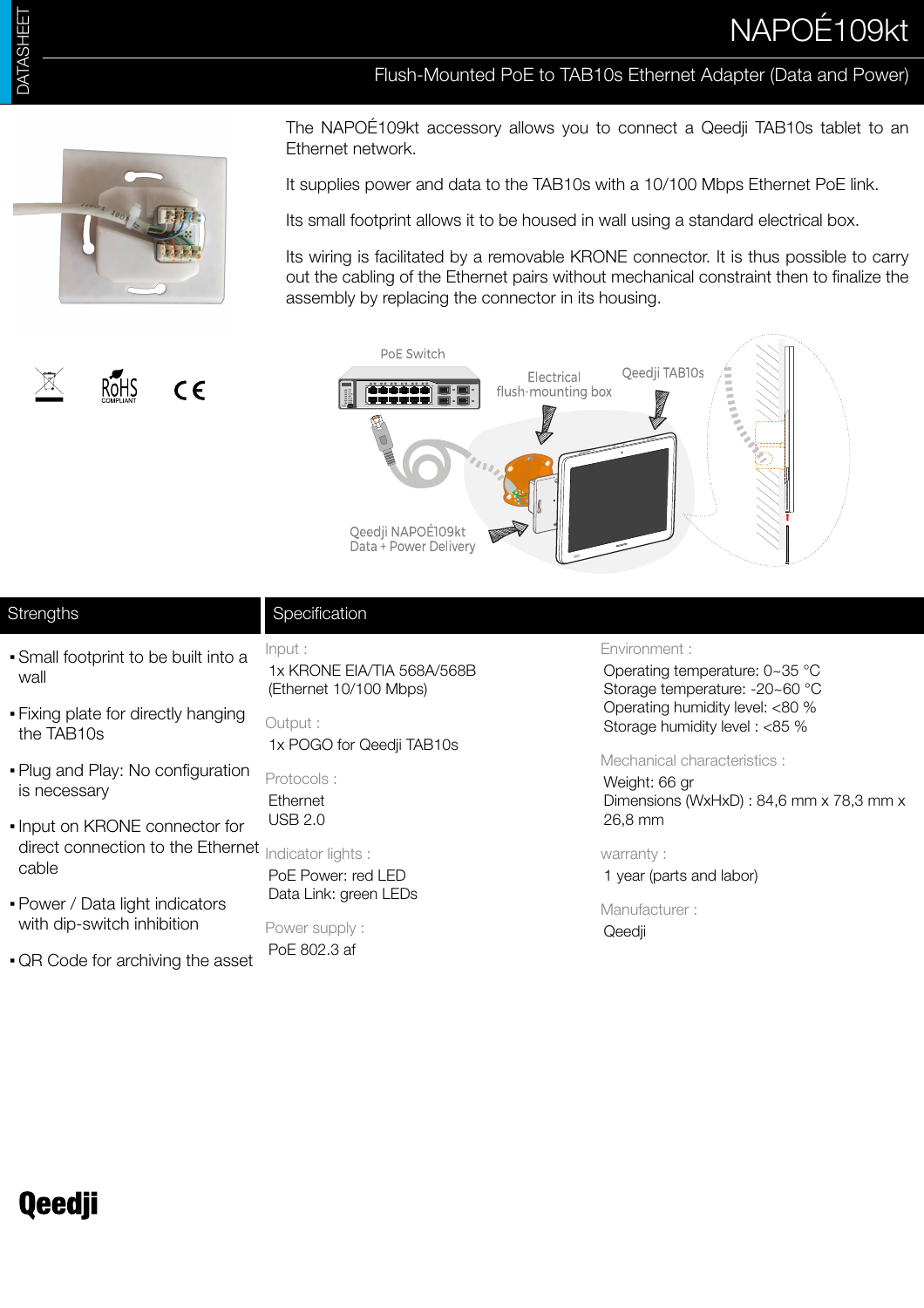# NAPOÉ109kt

### Flush-Mounted PoE to TAB10s Ethernet Adapter (Data and Power)



RoHS

 $C \in$ 

The NAPOÉ109kt accessory allows you to connect a Qeedji TAB10s tablet to an Ethernet network.

It supplies power and data to the TAB10s with a 10/100 Mbps Ethernet PoE link.

Its small footprint allows it to be housed in wall using a standard electrical box.

Its wiring is facilitated by a removable KRONE connector. It is thus possible to carry out the cabling of the Ethernet pairs without mechanical constraint then to finalize the assembly by replacing the connector in its housing.



## **Strengths**

- **Specification**
- Small footprint to be built into a wall
- **Fixing plate for directly hanging** the TAB10s
- Plug and Play: No configuration is necessary
- Input on KRONE connector for direct connection to the Ethernet cable
- Power / Data light indicators with dip-switch inhibition
- QR Code for archiving the asset

Input : 1x KRONE EIA/TIA 568A/568B (Ethernet 10/100 Mbps)

Output : 1x POGO for Qeedji TAB10s

Protocols : Ethernet USB 2.0

Indicator lights : PoE Power: red LED Data Link: green LEDs

Power supply : PoE 802.3 af

#### Environment :

Operating temperature: 0~35 °C Storage temperature: -20~60 °C Operating humidity level: <80 % Storage humidity level : <85 %

#### Mechanical characteristics :

Weight: 66 gr Dimensions (WxHxD) : 84,6 mm x 78,3 mm x 26,8 mm

#### warranty :

1 year (parts and labor)

Manufacturer : Qeedji

## **Qeedji**